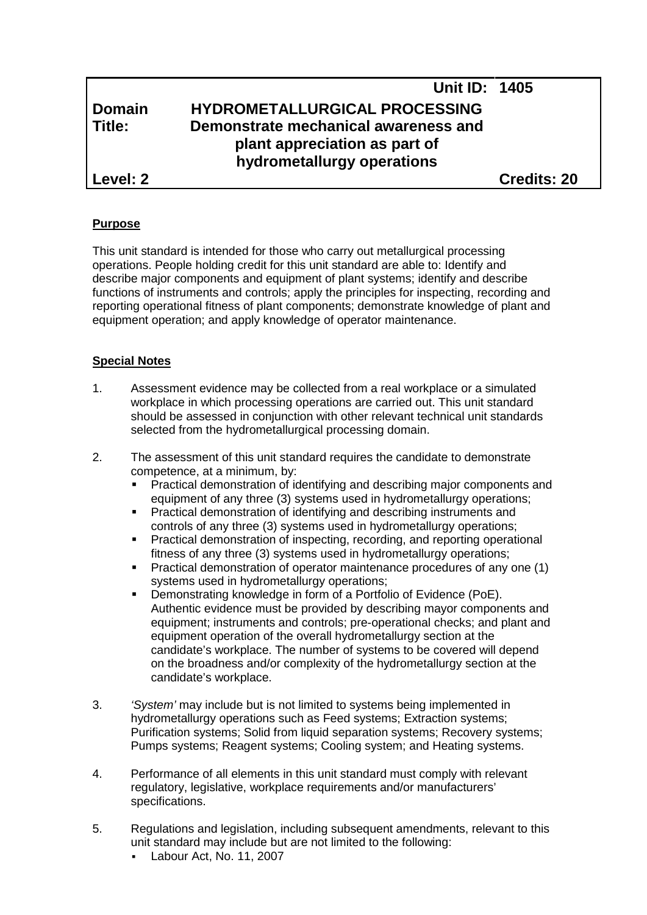**Level: 2 Credits: 20**

## **Purpose**

This unit standard is intended for those who carry out metallurgical processing operations. People holding credit for this unit standard are able to: Identify and describe major components and equipment of plant systems; identify and describe functions of instruments and controls; apply the principles for inspecting, recording and reporting operational fitness of plant components; demonstrate knowledge of plant and equipment operation; and apply knowledge of operator maintenance.

# **Special Notes**

- 1. Assessment evidence may be collected from a real workplace or a simulated workplace in which processing operations are carried out. This unit standard should be assessed in conjunction with other relevant technical unit standards selected from the hydrometallurgical processing domain.
- 2. The assessment of this unit standard requires the candidate to demonstrate competence, at a minimum, by:
	- Practical demonstration of identifying and describing major components and equipment of any three (3) systems used in hydrometallurgy operations;
	- Practical demonstration of identifying and describing instruments and controls of any three (3) systems used in hydrometallurgy operations;
	- Practical demonstration of inspecting, recording, and reporting operational fitness of any three (3) systems used in hydrometallurgy operations;
	- Practical demonstration of operator maintenance procedures of any one (1) systems used in hydrometallurgy operations;
	- Demonstrating knowledge in form of a Portfolio of Evidence (PoE). Authentic evidence must be provided by describing mayor components and equipment; instruments and controls; pre-operational checks; and plant and equipment operation of the overall hydrometallurgy section at the candidate's workplace. The number of systems to be covered will depend on the broadness and/or complexity of the hydrometallurgy section at the candidate's workplace.
- 3. *'System'* may include but is not limited to systems being implemented in hydrometallurgy operations such as Feed systems; Extraction systems; Purification systems; Solid from liquid separation systems; Recovery systems; Pumps systems; Reagent systems; Cooling system; and Heating systems.
- 4. Performance of all elements in this unit standard must comply with relevant regulatory, legislative, workplace requirements and/or manufacturers' specifications.
- 5. Regulations and legislation, including subsequent amendments, relevant to this unit standard may include but are not limited to the following:
	- Labour Act, No. 11, 2007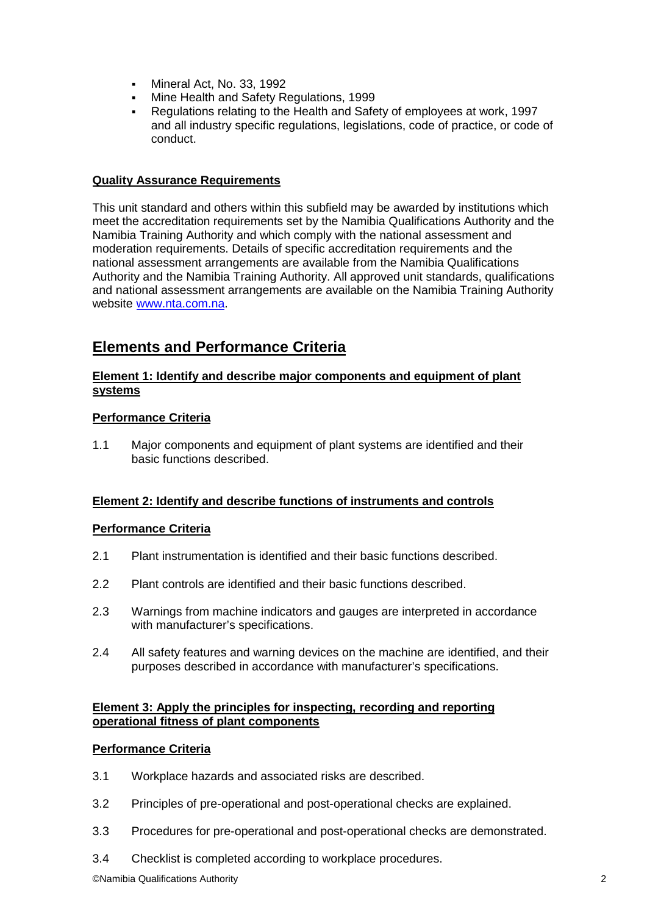- Mineral Act, No. 33, 1992
- Mine Health and Safety Regulations, 1999
- Regulations relating to the Health and Safety of employees at work, 1997 and all industry specific regulations, legislations, code of practice, or code of conduct.

## **Quality Assurance Requirements**

This unit standard and others within this subfield may be awarded by institutions which meet the accreditation requirements set by the Namibia Qualifications Authority and the Namibia Training Authority and which comply with the national assessment and moderation requirements. Details of specific accreditation requirements and the national assessment arrangements are available from the Namibia Qualifications Authority and the Namibia Training Authority. All approved unit standards, qualifications and national assessment arrangements are available on the Namibia Training Authority website www.nta.com.na.

# **Elements and Performance Criteria**

## **Element 1: Identify and describe major components and equipment of plant systems**

## **Performance Criteria**

1.1 Major components and equipment of plant systems are identified and their basic functions described.

### **Element 2: Identify and describe functions of instruments and controls**

### **Performance Criteria**

- 2.1 Plant instrumentation is identified and their basic functions described.
- 2.2 Plant controls are identified and their basic functions described.
- 2.3 Warnings from machine indicators and gauges are interpreted in accordance with manufacturer's specifications.
- 2.4 All safety features and warning devices on the machine are identified, and their purposes described in accordance with manufacturer's specifications.

### **Element 3: Apply the principles for inspecting, recording and reporting operational fitness of plant components**

### **Performance Criteria**

- 3.1 Workplace hazards and associated risks are described.
- 3.2 Principles of pre-operational and post-operational checks are explained.
- 3.3 Procedures for pre-operational and post-operational checks are demonstrated.
- 3.4 Checklist is completed according to workplace procedures.